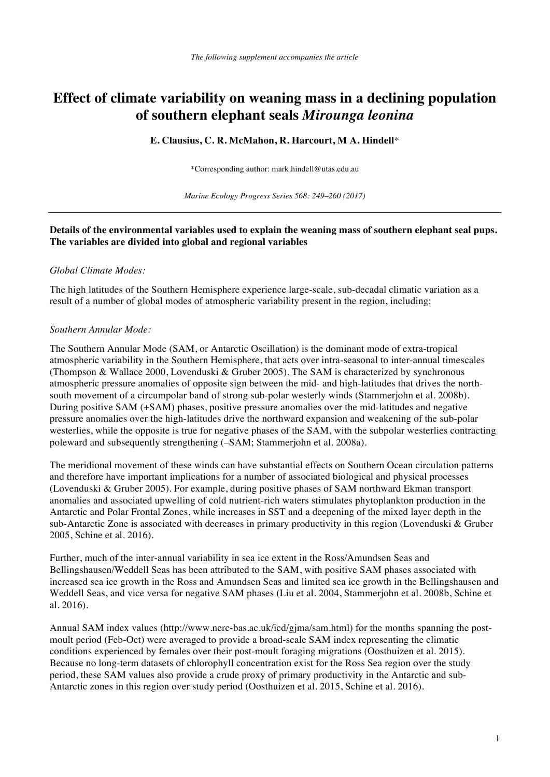# **Effect of climate variability on weaning mass in a declining population of southern elephant seals** *Mirounga leonina*

#### **E. Clausius, C. R. McMahon, R. Harcourt, M A. Hindell**\*

\*Corresponding author: mark.hindell@utas.edu.au

*Marine Ecology Progress Series 568: 249–260 (2017)*

## **Details of the environmental variables used to explain the weaning mass of southern elephant seal pups. The variables are divided into global and regional variables**

#### *Global Climate Modes:*

The high latitudes of the Southern Hemisphere experience large-scale, sub-decadal climatic variation as a result of a number of global modes of atmospheric variability present in the region, including:

#### *Southern Annular Mode:*

The Southern Annular Mode (SAM, or Antarctic Oscillation) is the dominant mode of extra-tropical atmospheric variability in the Southern Hemisphere, that acts over intra-seasonal to inter-annual timescales (Thompson & Wallace 2000, Lovenduski & Gruber 2005). The SAM is characterized by synchronous atmospheric pressure anomalies of opposite sign between the mid- and high-latitudes that drives the northsouth movement of a circumpolar band of strong sub-polar westerly winds (Stammerjohn et al. 2008b). During positive SAM (+SAM) phases, positive pressure anomalies over the mid-latitudes and negative pressure anomalies over the high-latitudes drive the northward expansion and weakening of the sub-polar westerlies, while the opposite is true for negative phases of the SAM, with the subpolar westerlies contracting poleward and subsequently strengthening (–SAM; Stammerjohn et al. 2008a).

The meridional movement of these winds can have substantial effects on Southern Ocean circulation patterns and therefore have important implications for a number of associated biological and physical processes (Lovenduski & Gruber 2005). For example, during positive phases of SAM northward Ekman transport anomalies and associated upwelling of cold nutrient-rich waters stimulates phytoplankton production in the Antarctic and Polar Frontal Zones, while increases in SST and a deepening of the mixed layer depth in the sub-Antarctic Zone is associated with decreases in primary productivity in this region (Lovenduski & Gruber 2005, Schine et al. 2016).

Further, much of the inter-annual variability in sea ice extent in the Ross/Amundsen Seas and Bellingshausen/Weddell Seas has been attributed to the SAM, with positive SAM phases associated with increased sea ice growth in the Ross and Amundsen Seas and limited sea ice growth in the Bellingshausen and Weddell Seas, and vice versa for negative SAM phases (Liu et al. 2004, Stammerjohn et al. 2008b, Schine et al. 2016).

Annual SAM index values (http://www.nerc-bas.ac.uk/icd/gjma/sam.html) for the months spanning the postmoult period (Feb-Oct) were averaged to provide a broad-scale SAM index representing the climatic conditions experienced by females over their post-moult foraging migrations (Oosthuizen et al. 2015). Because no long-term datasets of chlorophyll concentration exist for the Ross Sea region over the study period, these SAM values also provide a crude proxy of primary productivity in the Antarctic and sub-Antarctic zones in this region over study period (Oosthuizen et al. 2015, Schine et al. 2016).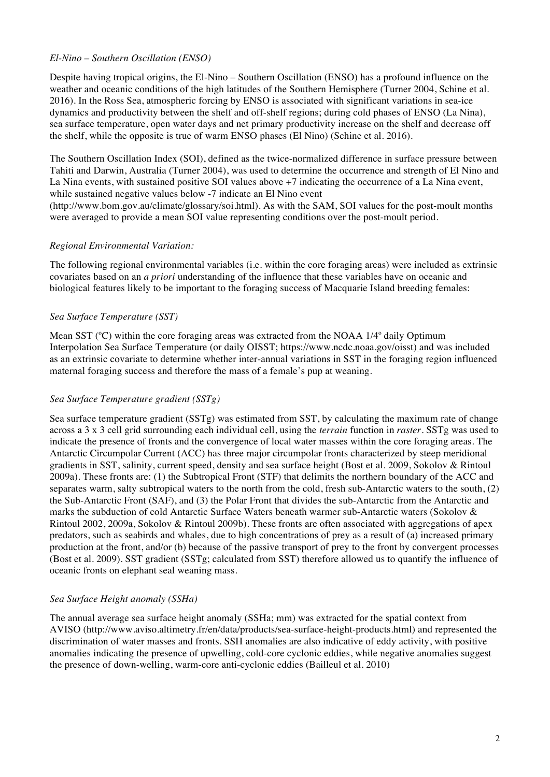## *El-Nino – Southern Oscillation (ENSO)*

Despite having tropical origins, the El-Nino – Southern Oscillation (ENSO) has a profound influence on the weather and oceanic conditions of the high latitudes of the Southern Hemisphere (Turner 2004, Schine et al. 2016). In the Ross Sea, atmospheric forcing by ENSO is associated with significant variations in sea-ice dynamics and productivity between the shelf and off-shelf regions; during cold phases of ENSO (La Nina), sea surface temperature, open water days and net primary productivity increase on the shelf and decrease off the shelf, while the opposite is true of warm ENSO phases (El Nino) (Schine et al. 2016).

The Southern Oscillation Index (SOI), defined as the twice-normalized difference in surface pressure between Tahiti and Darwin, Australia (Turner 2004), was used to determine the occurrence and strength of El Nino and La Nina events, with sustained positive SOI values above +7 indicating the occurrence of a La Nina event, while sustained negative values below -7 indicate an El Nino event

(http://www.bom.gov.au/climate/glossary/soi.html). As with the SAM, SOI values for the post-moult months were averaged to provide a mean SOI value representing conditions over the post-moult period.

## *Regional Environmental Variation:*

The following regional environmental variables (i.e. within the core foraging areas) were included as extrinsic covariates based on an *a priori* understanding of the influence that these variables have on oceanic and biological features likely to be important to the foraging success of Macquarie Island breeding females:

# *Sea Surface Temperature (SST)*

Mean SST ( $\degree$ C) within the core foraging areas was extracted from the NOAA 1/4 $\degree$  daily Optimum Interpolation Sea Surface Temperature (or daily OISST; https://www.ncdc.noaa.gov/oisst) and was included as an extrinsic covariate to determine whether inter-annual variations in SST in the foraging region influenced maternal foraging success and therefore the mass of a female's pup at weaning.

# *Sea Surface Temperature gradient (SSTg)*

Sea surface temperature gradient (SSTg) was estimated from SST, by calculating the maximum rate of change across a 3 x 3 cell grid surrounding each individual cell, using the *terrain* function in *raster.* SSTg was used to indicate the presence of fronts and the convergence of local water masses within the core foraging areas. The Antarctic Circumpolar Current (ACC) has three major circumpolar fronts characterized by steep meridional gradients in SST, salinity, current speed, density and sea surface height (Bost et al. 2009, Sokolov & Rintoul 2009a). These fronts are: (1) the Subtropical Front (STF) that delimits the northern boundary of the ACC and separates warm, salty subtropical waters to the north from the cold, fresh sub-Antarctic waters to the south, (2) the Sub-Antarctic Front (SAF), and (3) the Polar Front that divides the sub-Antarctic from the Antarctic and marks the subduction of cold Antarctic Surface Waters beneath warmer sub-Antarctic waters (Sokolov & Rintoul 2002, 2009a, Sokolov & Rintoul 2009b). These fronts are often associated with aggregations of apex predators, such as seabirds and whales, due to high concentrations of prey as a result of (a) increased primary production at the front, and/or (b) because of the passive transport of prey to the front by convergent processes (Bost et al. 2009). SST gradient (SSTg; calculated from SST) therefore allowed us to quantify the influence of oceanic fronts on elephant seal weaning mass.

#### *Sea Surface Height anomaly (SSHa)*

The annual average sea surface height anomaly (SSHa; mm) was extracted for the spatial context from AVISO (http://www.aviso.altimetry.fr/en/data/products/sea-surface-height-products.html) and represented the discrimination of water masses and fronts. SSH anomalies are also indicative of eddy activity, with positive anomalies indicating the presence of upwelling, cold-core cyclonic eddies, while negative anomalies suggest the presence of down-welling, warm-core anti-cyclonic eddies (Bailleul et al. 2010)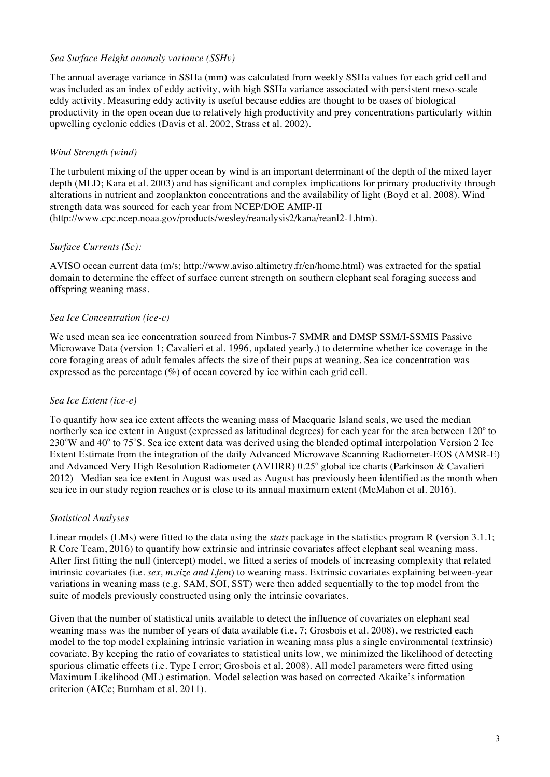## *Sea Surface Height anomaly variance (SSHv)*

The annual average variance in SSHa (mm) was calculated from weekly SSHa values for each grid cell and was included as an index of eddy activity, with high SSHa variance associated with persistent meso-scale eddy activity. Measuring eddy activity is useful because eddies are thought to be oases of biological productivity in the open ocean due to relatively high productivity and prey concentrations particularly within upwelling cyclonic eddies (Davis et al. 2002, Strass et al. 2002).

# *Wind Strength (wind)*

The turbulent mixing of the upper ocean by wind is an important determinant of the depth of the mixed layer depth (MLD; Kara et al. 2003) and has significant and complex implications for primary productivity through alterations in nutrient and zooplankton concentrations and the availability of light (Boyd et al. 2008). Wind strength data was sourced for each year from NCEP/DOE AMIP-II

(http://www.cpc.ncep.noaa.gov/products/wesley/reanalysis2/kana/reanl2-1.htm).

## *Surface Currents (Sc):*

AVISO ocean current data (m/s; http://www.aviso.altimetry.fr/en/home.html) was extracted for the spatial domain to determine the effect of surface current strength on southern elephant seal foraging success and offspring weaning mass.

## *Sea Ice Concentration (ice-c)*

We used mean sea ice concentration sourced from Nimbus-7 SMMR and DMSP SSM/I-SSMIS Passive Microwave Data (version 1; Cavalieri et al. 1996, updated yearly.) to determine whether ice coverage in the core foraging areas of adult females affects the size of their pups at weaning. Sea ice concentration was expressed as the percentage  $(\%)$  of ocean covered by ice within each grid cell.

# *Sea Ice Extent (ice-e)*

To quantify how sea ice extent affects the weaning mass of Macquarie Island seals, we used the median northerly sea ice extent in August (expressed as latitudinal degrees) for each year for the area between  $120^{\circ}$  to 230°W and 40° to 75°S. Sea ice extent data was derived using the blended optimal interpolation Version 2 Ice Extent Estimate from the integration of the daily Advanced Microwave Scanning Radiometer-EOS (AMSR-E) and Advanced Very High Resolution Radiometer (AVHRR) 0.25° global ice charts (Parkinson & Cavalieri 2012) Median sea ice extent in August was used as August has previously been identified as the month when sea ice in our study region reaches or is close to its annual maximum extent (McMahon et al. 2016).

#### *Statistical Analyses*

Linear models (LMs) were fitted to the data using the *stats* package in the statistics program R (version 3.1.1; R Core Team, 2016) to quantify how extrinsic and intrinsic covariates affect elephant seal weaning mass. After first fitting the null (intercept) model, we fitted a series of models of increasing complexity that related intrinsic covariates (i.e. *sex, m.size and l.fem*) to weaning mass. Extrinsic covariates explaining between-year variations in weaning mass (e.g. SAM, SOI, SST) were then added sequentially to the top model from the suite of models previously constructed using only the intrinsic covariates.

Given that the number of statistical units available to detect the influence of covariates on elephant seal weaning mass was the number of years of data available (i.e. 7; Grosbois et al. 2008), we restricted each model to the top model explaining intrinsic variation in weaning mass plus a single environmental (extrinsic) covariate. By keeping the ratio of covariates to statistical units low, we minimized the likelihood of detecting spurious climatic effects (i.e. Type I error; Grosbois et al. 2008). All model parameters were fitted using Maximum Likelihood (ML) estimation. Model selection was based on corrected Akaike's information criterion (AICc; Burnham et al. 2011).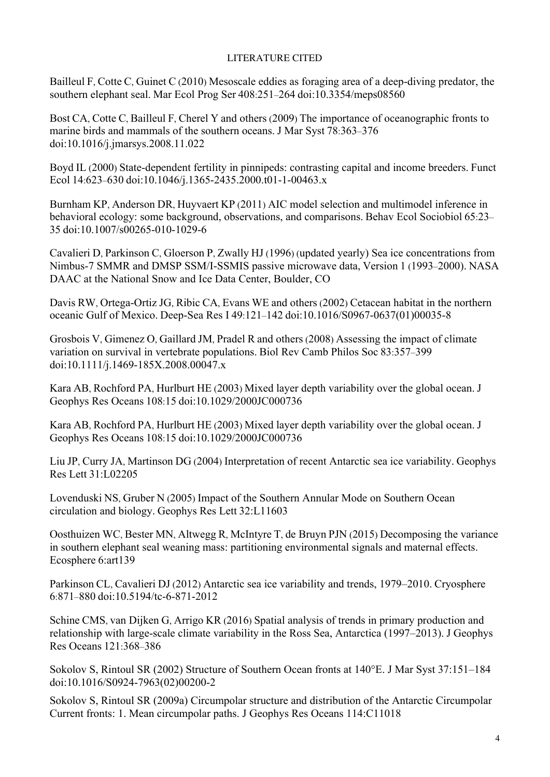# LITERATURE CITED

Bailleul F, Cotte C, Guinet C (2010) Mesoscale eddies as foraging area of a deep-diving predator, the southern elephant seal. Mar Ecol Prog Ser 408:251–264 doi:10.3354/meps08560

Bost CA, Cotte C, Bailleul F, Cherel Y and others (2009) The importance of oceanographic fronts to marine birds and mammals of the southern oceans. J Mar Syst 78:363–376 doi:10.1016/j.jmarsys.2008.11.022

Boyd IL (2000) State-dependent fertility in pinnipeds: contrasting capital and income breeders. Funct Ecol 14:623–630 doi:10.1046/j.1365-2435.2000.t01-1-00463.x

Burnham KP, Anderson DR, Huyvaert KP (2011) AIC model selection and multimodel inference in behavioral ecology: some background, observations, and comparisons. Behav Ecol Sociobiol 65:23– 35 doi:10.1007/s00265-010-1029-6

Cavalieri D, Parkinson C, Gloerson P, Zwally HJ (1996) (updated yearly) Sea ice concentrations from Nimbus-7 SMMR and DMSP SSM/I-SSMIS passive microwave data, Version 1 (1993–2000). NASA DAAC at the National Snow and Ice Data Center, Boulder, CO

Davis RW, Ortega-Ortiz JG, Ribic CA, Evans WE and others (2002) Cetacean habitat in the northern oceanic Gulf of Mexico. Deep-Sea Res I 49:121–142 doi:10.1016/S0967-0637(01)00035-8

Grosbois V, Gimenez O, Gaillard JM, Pradel R and others (2008) Assessing the impact of climate variation on survival in vertebrate populations. Biol Rev Camb Philos Soc 83:357–399 doi:10.1111/j.1469-185X.2008.00047.x

Kara AB, Rochford PA, Hurlburt HE (2003) Mixed layer depth variability over the global ocean. J Geophys Res Oceans 108:15 doi:10.1029/2000JC000736

Kara AB, Rochford PA, Hurlburt HE (2003) Mixed layer depth variability over the global ocean. J Geophys Res Oceans 108:15 doi:10.1029/2000JC000736

Liu JP, Curry JA, Martinson DG (2004) Interpretation of recent Antarctic sea ice variability. Geophys Res Lett 31:L02205

Lovenduski NS, Gruber N (2005) Impact of the Southern Annular Mode on Southern Ocean circulation and biology. Geophys Res Lett 32:L11603

Oosthuizen WC, Bester MN, Altwegg R, McIntyre T, de Bruyn PJN (2015) Decomposing the variance in southern elephant seal weaning mass: partitioning environmental signals and maternal effects. Ecosphere 6:art139

Parkinson CL, Cavalieri DJ (2012) Antarctic sea ice variability and trends, 1979–2010. Cryosphere 6:871–880 doi:10.5194/tc-6-871-2012

Schine CMS, van Dijken G, Arrigo KR (2016) Spatial analysis of trends in primary production and relationship with large-scale climate variability in the Ross Sea, Antarctica (1997–2013). J Geophys Res Oceans 121:368–386

Sokolov S, Rintoul SR (2002) Structure of Southern Ocean fronts at 140°E. J Mar Syst 37:151–184 doi:10.1016/S0924-7963(02)00200-2

Sokolov S, Rintoul SR (2009a) Circumpolar structure and distribution of the Antarctic Circumpolar Current fronts: 1. Mean circumpolar paths. J Geophys Res Oceans 114:C11018